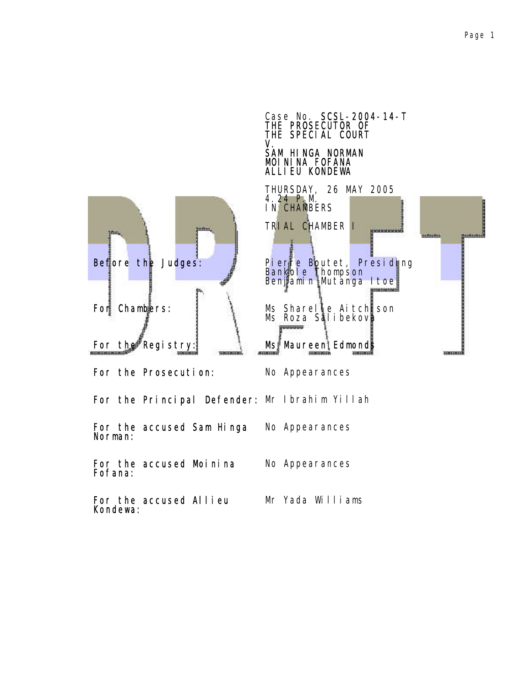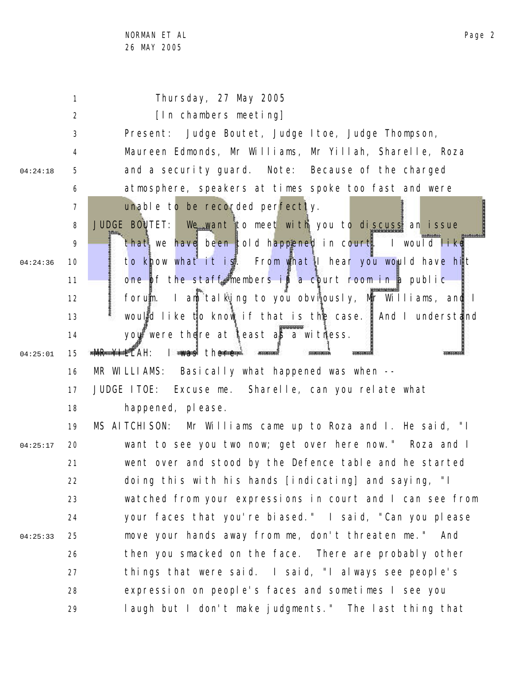1 2 3 4 5 6 7 8 9 10 11 12 13 14 15 16 17 18 19 20 21 22 23 24 25 26 27 28 29 04:24:18 04:24:36 04:25:01 04:25:17 04:25:33 Thursday, 27 May 2005 [In chambers meeting] Present: Judge Boutet, Judge Itoe, Judge Thompson, Maureen Edmonds, Mr Williams, Mr Yillah, Sharelle, Roza and a security guard. Note: Because of the charged atmosphere, speakers at times spoke too fast and were unable to be recorded perfectly. JUDGE BOUTET: We want to meet with you to discuss an issue that we have been told happened in court. I would like to know what it is. From what I hear you would have hit one of the staff members in a court room in a public forum. I am talking to you obviously, Mr Williams, and I would like to know if that is the case. And I understand you were there at least as a witness. **MR-YHELAH:** I was there. MR WILLIAMS: Basically what happened was when --JUDGE ITOE: Excuse me. Sharelle, can you relate what happened, please. MS AITCHISON: Mr Williams came up to Roza and I. He said, "I want to see you two now; get over here now." Roza and I went over and stood by the Defence table and he started doing this with his hands [indicating] and saying, "I watched from your expressions in court and I can see from your faces that you're biased." I said, "Can you please move your hands away from me, don't threaten me." And then you smacked on the face. There are probably other things that were said. I said, "I always see people's expression on people's faces and sometimes I see you laugh but I don't make judgments." The last thing that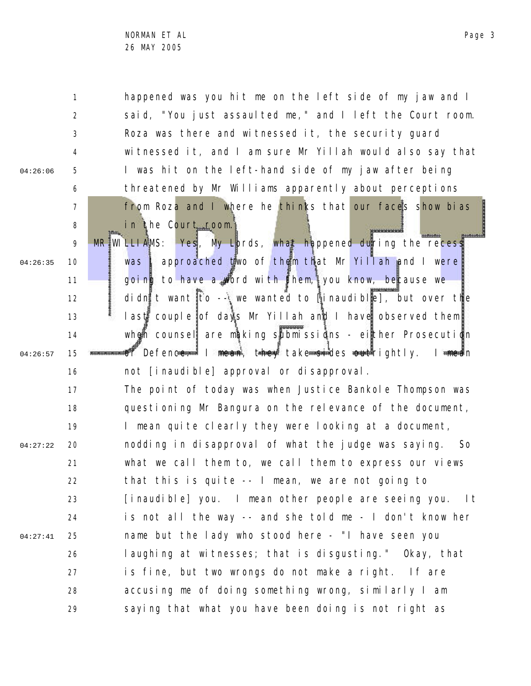04:26:06

1 2 3 4 5 6 7 8 happened was you hit me on the left side of my jaw and I said, "You just assaulted me," and I left the Court room. Roza was there and witnessed it, the security guard witnessed it, and I am sure Mr Yillah would also say that I was hit on the left-hand side of my jaw after being threatened by Mr Williams apparently about perceptions from Roza and I where he thinks that our faces show bias in the Court room.

9 10 11 12 13 14 15 16 04:26:35 04:26:57 MR WILLIAMS: Yes, My Lords, what happened during the recess was | approached two of them that Mr Yillah and I were going to have a word with them, you know, because we didn't want to -- we wanted to linaudible], but over the last couple of days Mr Yillah and I have observed them when counsel are making submissions - either Prosecution or Defenc<del>e. Inean, they take si</del>des <del>out</del>rightly. I <del>mea</del>n not [inaudible] approval or disapproval.

17 18 19 20 21 22 23 24 25 26 27 28 29 04:27:22 04:27:41 The point of today was when Justice Bankole Thompson was questioning Mr Bangura on the relevance of the document, I mean quite clearly they were looking at a document, nodding in disapproval of what the judge was saying. So what we call them to, we call them to express our views that this is quite -- I mean, we are not going to [inaudible] you. I mean other people are seeing you. It is not all the way -- and she told me - I don't know her name but the lady who stood here - "I have seen you laughing at witnesses; that is disgusting." Okay, that is fine, but two wrongs do not make a right. If are accusing me of doing something wrong, similarly I am saying that what you have been doing is not right as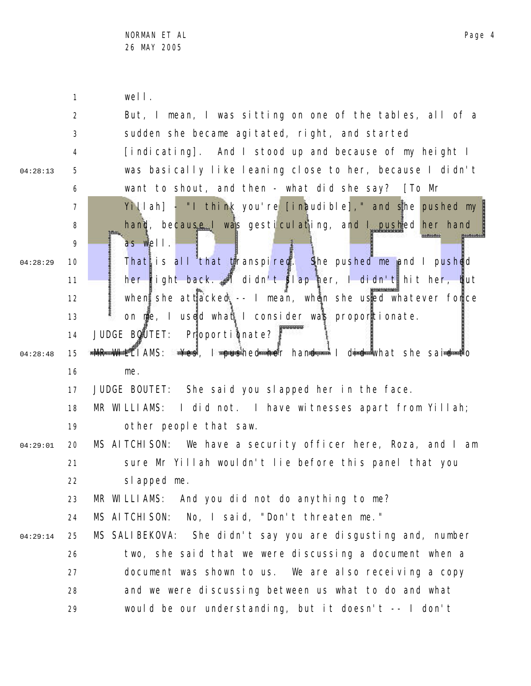|          | $\mathbf{1}$   | well.                                                                       |
|----------|----------------|-----------------------------------------------------------------------------|
|          | $\overline{2}$ | But, I mean, I was sitting on one of the tables, all of a                   |
|          | 3              | sudden she became agitated, right, and started                              |
|          | 4              | [indicating]. And I stood up and because of my height I                     |
| 04:28:13 | 5              | was basically like leaning close to her, because I didn't                   |
|          | 6              | want to shout, and then - what did she say? [To Mr                          |
|          | $\overline{7}$ | Yillah] - "I think you're [inaudible]," and she pushed my                   |
|          | 8              | hand, because I was gesticulating, and I pushed her hand                    |
|          | 9              | as well.                                                                    |
| 04:28:29 | 10             | That is all that transpired. She pushed me and I pushed                     |
|          | 11             | her right back. I didn't slap her, I didn't hit her, but                    |
|          | 12             | when she attacked -- I mean, when she used whatever force                   |
|          | 13             | on me, I used what I consider was proportionate.                            |
|          | 14             | JUDGE BOUTET: Proportionate?                                                |
| 04:28:48 | 15             | <b>*MR WHELIAMS: * * s T roushed her hand * I did *</b> what she said * * o |
|          | 16             | me.                                                                         |
|          | 17             | JUDGE BOUTET: She said you slapped her in the face.                         |
|          | 18             | MR WILLIAMS: I did not. I have witnesses apart from Yillah;                 |
|          | 19             | other people that saw.                                                      |
| 04:29:01 | 20             | MS AITCHISON: We have a security officer here, Roza, and I am               |
|          | 21             | sure Mr Yillah wouldn't lie before this panel that you                      |
|          | 22             | slapped me.                                                                 |
|          | 23             | MR WILLIAMS: And you did not do anything to me?                             |
|          | 24             | MS AI TCHI SON:<br>No, I said, "Don't threaten me."                         |
| 04:29:14 | 25             | MS SALIBEKOVA: She didn't say you are disgusting and, number                |
|          | 26             | two, she said that we were discussing a document when a                     |
|          | 27             | document was shown to us. We are also receiving a copy                      |
|          | 28             | and we were discussing between us what to do and what                       |
|          | 29             | would be our understanding, but it doesn't -- I don't                       |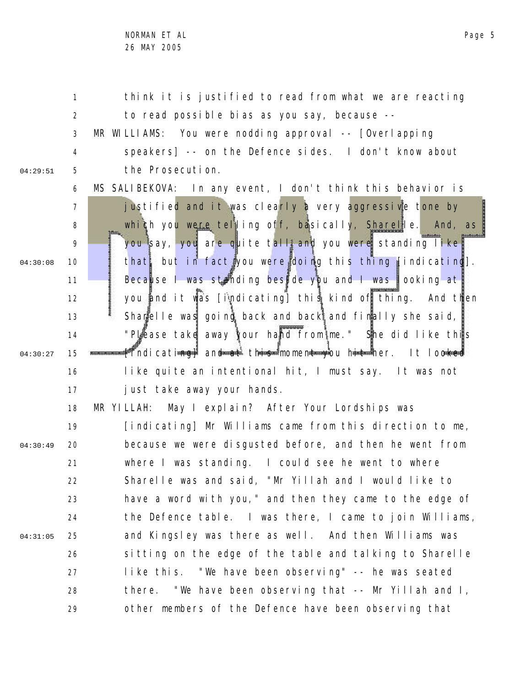1 2 3 4 5 6 7 8 9 10 11 12 13 14 15 16 17 18 19 20 21 22 23 04:29:51 04:30:08 04:30:27 04:30:49 think it is justified to read from what we are reacting to read possible bias as you say, because -- MR WILLIAMS: You were nodding approval -- [Overlapping speakers] -- on the Defence sides. I don't know about the Prosecution. MS SALIBEKOVA: In any event, I don't think this behavior is justified and it was clearly a very aggressive tone by which you were telling off, basically, Sharelle. And, as you say, you are quite tall and you were standing like. that, but in fact you were doing this thing [indicating]. Because I was standing beside you and I was looking at you and it was [indicating] this kind of thing. And then Sharelle was going back and back and finally she said, "Please take away your hand from me." She did like this [indicating] and at this moment you hit her. It looked like quite an intentional hit, I must say. It was not just take away your hands. MR YILLAH: May I explain? After Your Lordships was [indicating] Mr Williams came from this direction to me, because we were disgusted before, and then he went from where I was standing. I could see he went to where Sharelle was and said, "Mr Yillah and I would like to have a word with you," and then they came to the edge of

24 25 26 27 28 29 04:31:05 the Defence table. I was there, I came to join Williams, and Kingsley was there as well. And then Williams was sitting on the edge of the table and talking to Sharelle like this. "We have been observing" -- he was seated there. "We have been observing that -- Mr Yillah and I, other members of the Defence have been observing that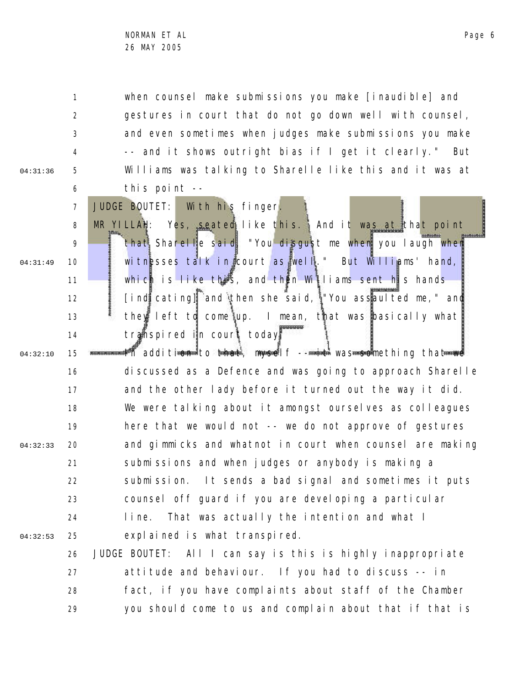04:31:36

04:31:49

8

9

10

11

12

13

14

1 2 3 4 5 6 when counsel make submissions you make [inaudible] and gestures in court that do not go down well with counsel, and even sometimes when judges make submissions you make -- and it shows outright bias if I get it clearly." But Williams was talking to Sharelle like this and it was at this point --

JUDGE BOUTET: With his finger. MR YILLAH: Yes, seated like this. And it was at that point that Sharelle said, "You disgust me when you laugh when witnesses talk in court as well." But Williams' hand, which is like this, and then Williams sent his hands [indicating] and then she said, "You assaulted me," and they left to come up. I mean, that was basically what transpired in court today.

15 16 17 18 19 20 21 22 23 24 25 04:32:10 04:32:33 04:32:53 In additi<del>on to that, myself -- it was so</del>mething that we discussed as a Defence and was going to approach Sharelle and the other lady before it turned out the way it did. We were talking about it amongst ourselves as colleagues here that we would not -- we do not approve of gestures and gimmicks and whatnot in court when counsel are making submissions and when judges or anybody is making a submission. It sends a bad signal and sometimes it puts counsel off guard if you are developing a particular line. That was actually the intention and what I explained is what transpired.

26 27 28 29 JUDGE BOUTET: All I can say is this is highly inappropriate attitude and behaviour. If you had to discuss -- in fact, if you have complaints about staff of the Chamber you should come to us and complain about that if that is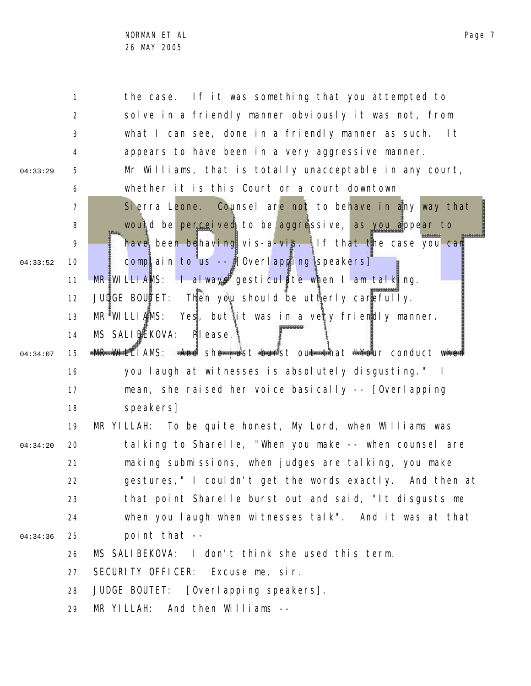1 2 3 4 5 6 7 8 9 10 11 12 13 14 15 16 17 18 19 20 21 22 23 24 25 26 27 28 29 04:33:29 04:33:52 04:34:07 04:34:20 04:34:36 the case. If it was something that you attempted to solve in a friendly manner obviously it was not, from what I can see, done in a friendly manner as such. It appears to have been in a very aggressive manner. Mr Williams, that is totally unacceptable in any court, whether it is this Court or a court downtown Sierra Leone. Counsel are not to behave in any way that would be perceived to be aggressive, as you appear to have been behaving vis-a-vis. If that the case you can complain to us  $-\frac{1}{2}$  [Overlapping speakers] MR WILLIAMS: I always gesticulate when I am talking. JUDGE BOUTET: Then you should be utterly carefully.  $MR^{\frac{2}{3}}$ WILLIAMS: Yes, but it was in a very friendly manner. MS SALIBEKOVA: Please. **\*MR WHELIAMS: \*And she just burst out that "Your conduct when** you laugh at witnesses is absolutely disgusting." I mean, she raised her voice basically -- [Overlapping speakers] MR YILLAH: To be quite honest, My Lord, when Williams was talking to Sharelle, "When you make -- when counsel are making submissions, when judges are talking, you make gestures," I couldn't get the words exactly. And then at that point Sharelle burst out and said, "It disgusts me when you laugh when witnesses talk". And it was at that point that -- MS SALIBEKOVA: I don't think she used this term. SECURITY OFFICER: Excuse me, sir. JUDGE BOUTET: [Overlapping speakers]. MR YILLAH: And then Williams --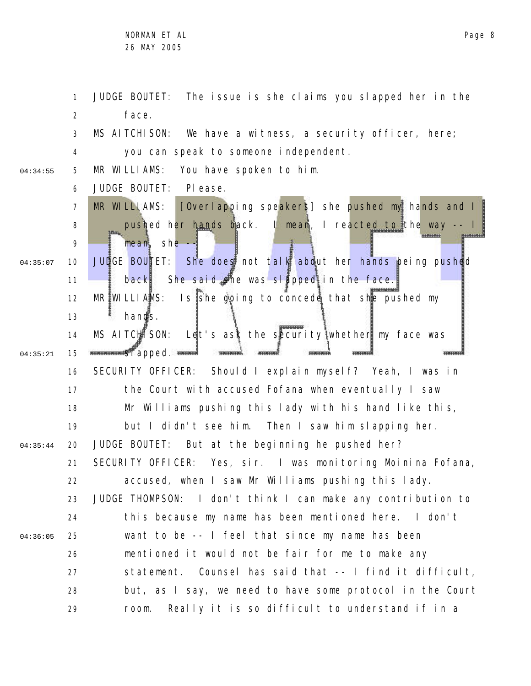NORMAN ET AL 26 MAY 2005

1 2 3 4 5 6 7 8 9 10 11 12 13 14 15 16 17 18 19 20 21 22 23 24 25 26 27 28 29 04:34:55 04:35:07 04:35:21 04:35:44 04:36:05 JUDGE BOUTET: The issue is she claims you slapped her in the face. MS AITCHISON: We have a witness, a security officer, here; you can speak to someone independent. MR WILLIAMS: You have spoken to him. JUDGE BOUTET: Please. MR WILLIAMS: [Overlapping speakers] she pushed my hands and I pushed her hands back. I mean, I reacted to the way -- I mean, she  $-1$ JUDGE BOUTET: She does not talk about her hands being pushed back. She said she was slapped in the face.  $MR$  WILLIAMS: Is she going to concede that she pushed my hands. MS AITCHISON: Let's ask the security whether my face was standard standard standard standard standard standard standard standard standard standard standard standard standard standard standard standard standard standard standard standard standard standard standard standard standa SECURITY OFFICER: Should I explain myself? Yeah, I was in the Court with accused Fofana when eventually I saw Mr Williams pushing this lady with his hand like this, but I didn't see him. Then I saw him slapping her. JUDGE BOUTET: But at the beginning he pushed her? SECURITY OFFICER: Yes, sir. I was monitoring Moinina Fofana, accused, when I saw Mr Williams pushing this lady. JUDGE THOMPSON: I don't think I can make any contribution to this because my name has been mentioned here. I don't want to be -- I feel that since my name has been mentioned it would not be fair for me to make any statement. Counsel has said that -- I find it difficult, but, as I say, we need to have some protocol in the Court room. Really it is so difficult to understand if in a

Page 8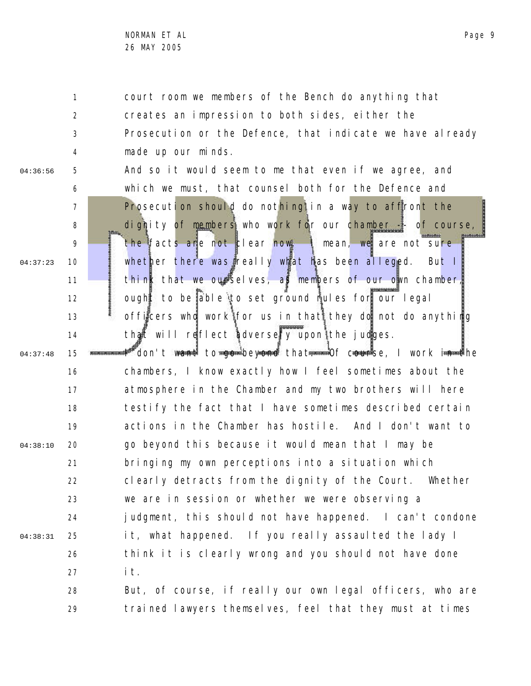1 2 3 4 court room we members of the Bench do anything that creates an impression to both sides, either the Prosecution or the Defence, that indicate we have already made up our minds.

04:36:56

04:37:23

5

6 7

8 9

10

11

12

13

14

And so it would seem to me that even if we agree, and which we must, that counsel both for the Defence and Prosecution should do nothing in a way to affront the dignity of members who work for our chamber  $\frac{1}{2}$  of course, the facts are not clear now. I mean, we are not sure whether there was really what has been alleged. But I think that we ourselves, as members of our own chamber, ought to be able to set ground rules for our legal officers who work for us in that they do not do anything that will reflect adversely upon the judges.

15 16 17 18 19 20 21 22 23 24 25 26 27 28 04:37:48 04:38:10 04:38:31 <sup>##"</sup>don't w<del>ant</del> to <del>go </del>beyond that<del>. Of cour</del>se, I work i<del>n t</del>he chambers, I know exactly how I feel sometimes about the atmosphere in the Chamber and my two brothers will here testify the fact that I have sometimes described certain actions in the Chamber has hostile. And I don't want to go beyond this because it would mean that I may be bringing my own perceptions into a situation which clearly detracts from the dignity of the Court. Whether we are in session or whether we were observing a judgment, this should not have happened. I can't condone it, what happened. If you really assaulted the lady I think it is clearly wrong and you should not have done it. But, of course, if really our own legal officers, who are

29 trained lawyers themselves, feel that they must at times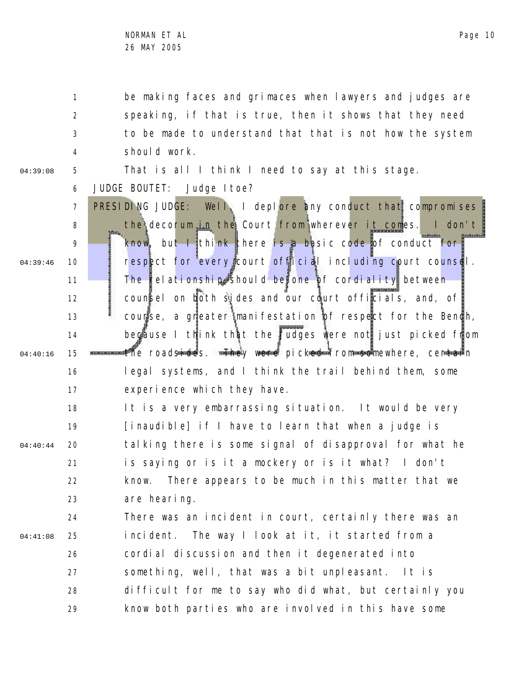1 2 3 4 be making faces and grimaces when lawyers and judges are speaking, if that is true, then it shows that they need to be made to understand that that is not how the system should work.

04:39:08

5 That is all I think I need to say at this stage.

6 JUDGE BOUTET: Judge Itoe?

7 8 9 10 11 12 13 14 15 16 17 04:39:46 04:40:16 PRESIDING JUDGE: Well, I deplore any conduct that compromises the decorum in the Court from wherever it comes. I don't know, but I think there is a basic code of conduct for respect for every court official including court counsel. The relationship should be one of cordiality between counsel on both sides and our court officials, and, of course, a greater manifestation of respect for the Bench, because I think that the judges were not just picked from the roadsides. <del>The</del>y were picked from somewhere, centain legal systems, and I think the trail behind them, some experience which they have.

18 19 20 21 22 23 04:40:44 It is a very embarrassing situation. It would be very [inaudible] if I have to learn that when a judge is talking there is some signal of disapproval for what he is saying or is it a mockery or is it what? I don't know. There appears to be much in this matter that we are hearing.

24 25 26 27 28 29 04:41:08 There was an incident in court, certainly there was an incident. The way I look at it, it started from a cordial discussion and then it degenerated into something, well, that was a bit unpleasant. It is difficult for me to say who did what, but certainly you know both parties who are involved in this have some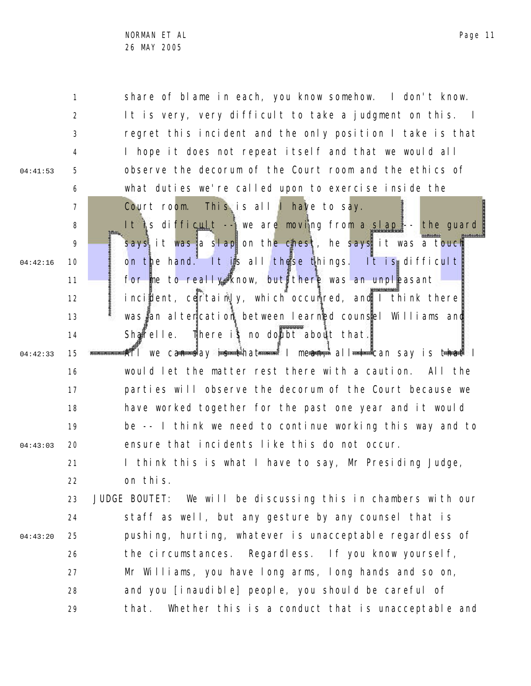5

04:41:53

04:42:16

04:42:33

04:43:03

6

7

15

1 2 3 8 9 10 11 12 13 14 16 17 18 19 20 share of blame in each, you know somehow. I don't know. It is very, very difficult to take a judgment on this. I regret this incident and the only position I take is that I hope it does not repeat itself and that we would all observe the decorum of the Court room and the ethics of what duties we're called upon to exercise inside the Court room. This is all I have to say. It is difficult -- we are moving from a slap -- the guard says it was a slap on the chest, he says it was a touch on the hand. It is all these things. It is difficult for me to really know, but there was an unpleasant incident, certainly, which occurred, and I think there was an altercation between learned counsel Williams and Sharelle. There is no doubt about that. #All we can say <del>is t</del>hat<del>…… I</del> mean, all<del>…</del> can say is that I would let the matter rest there with a caution. All the parties will observe the decorum of the Court because we have worked together for the past one year and it would be -- I think we need to continue working this way and to ensure that incidents like this do not occur.

21 22 I think this is what I have to say, Mr Presiding Judge, on this.

23 24 25 26 27 28 29 04:43:20 JUDGE BOUTET: We will be discussing this in chambers with our staff as well, but any gesture by any counsel that is pushing, hurting, whatever is unacceptable regardless of the circumstances. Regardless. If you know yourself, Mr Williams, you have long arms, long hands and so on, and you [inaudible] people, you should be careful of that. Whether this is a conduct that is unacceptable and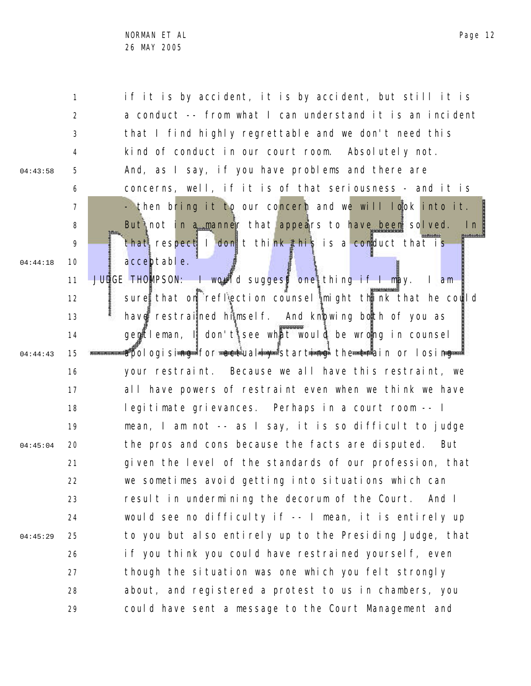2 3 4 5 6 7 8 9 10 11 12 13 14 15 16 17 18 19 20 21 22 23 24 25 26 27 28 29 04:43:58 04:44:18 04:44:43 04:45:04 04:45:29 a conduct -- from what I can understand it is an incident that I find highly regrettable and we don't need this kind of conduct in our court room. Absolutely not. And, as I say, if you have problems and there are concerns, well, if it is of that seriousness - and it is - then bring it to our concern and we will look into it. But not in a manner that appears to have been solved. In that respect I don't think this is a conduct that is acceptable. JUDGE THOMPSON: I would suggest one thing if I may. I am sure that on reflection counsel might think that he could have restrained himself. And knowing both of you as  $q$ entleman,  $\parallel$  don't see what would be wrong in counsel apologisi<del>ng for act</del>ual<del>ly s</del>tart<del>ing</del> the train or losing your restraint. Because we all have this restraint, we all have powers of restraint even when we think we have legitimate grievances. Perhaps in a court room -- I mean, I am not -- as I say, it is so difficult to judge the pros and cons because the facts are disputed. But given the level of the standards of our profession, that we sometimes avoid getting into situations which can result in undermining the decorum of the Court. And I would see no difficulty if -- I mean, it is entirely up to you but also entirely up to the Presiding Judge, that if you think you could have restrained yourself, even though the situation was one which you felt strongly about, and registered a protest to us in chambers, you could have sent a message to the Court Management and

if it is by accident, it is by accident, but still it is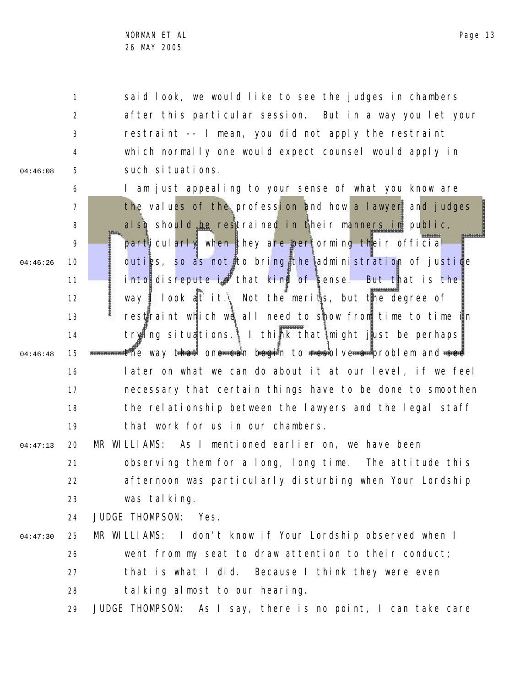1 2 3 4 5 04:46:08 said look, we would like to see the judges in chambers after this particular session. But in a way you let your restraint -- I mean, you did not apply the restraint which normally one would expect counsel would apply in such situations.

6 7 8 9 10 11 12 13 14 15 16 17 18 19 04:46:26 04:46:48 I am just appealing to your sense of what you know are the values of the profession and how a lawyer and judges also should be restrained in their manners in public, particularly when they are performing their official duties, so as not to bring the administration of justice into disrepute in that kind of sense. But that is the way I look at it. Not the merits, but the degree of restraint which we all need to show from time to time in trying situations. I think that might just be perhaps. **messions that one can begin to resolve a** problem and see later on what we can do about it at our level, if we feel necessary that certain things have to be done to smoothen the relationship between the lawyers and the legal staff that work for us in our chambers.

20 21 22 23 04:47:13 MR WILLIAMS: As I mentioned earlier on, we have been observing them for a long, long time. The attitude this afternoon was particularly disturbing when Your Lordship was talking.

> 24 JUDGE THOMPSON: Yes.

25 26 27 28 04:47:30 MR WILLIAMS: I don't know if Your Lordship observed when I went from my seat to draw attention to their conduct; that is what I did. Because I think they were even talking almost to our hearing.

29 JUDGE THOMPSON: As I say, there is no point, I can take care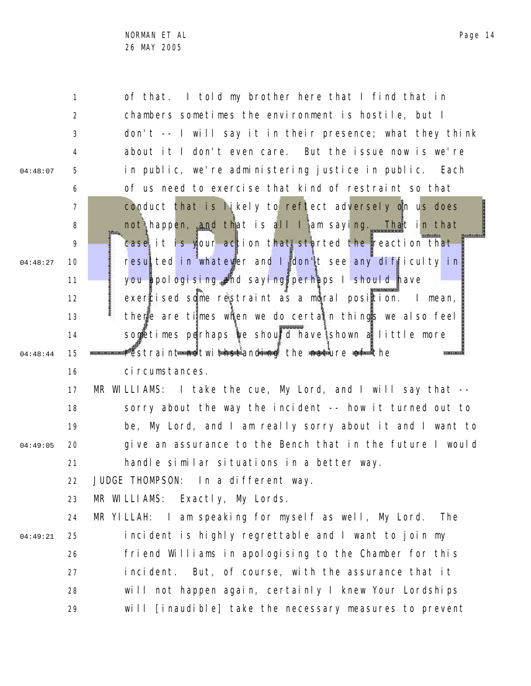2

3

4

5

04:48:07

04:48:27

04:48:44

04:49:05

6

7

8

9

10

of that. I told my brother here that I find that in chambers sometimes the environment is hostile, but I don't -- I will say it in their presence; what they think about it I don't even care. But the issue now is we're in public, we're administering justice in public. Each of us need to exercise that kind of restraint so that conduct that is likely to reflect adversely on us does not happen, and that is all I am saying. That in that case it is your action that started the reaction that resulted in whatever and I don't see any difficulty in

11 12 13 14 15 you apologising and saying perhaps I should have exercised some restraint as a moral position. I mean, there are times when we do certain things we also feel sometimes perhaps we should have shown a little more restraint n<del>ot a</del>d twith the fanding the nature of the

16 ci rcumstances.

17 18 19 20 21 MR WILLIAMS: I take the cue, My Lord, and I will say that - sorry about the way the incident -- how it turned out to be, My Lord, and I am really sorry about it and I want to give an assurance to the Bench that in the future I would handle similar situations in a better way.

22 JUDGE THOMPSON: In a different way.

23 MR WILLIAMS: Exactly, My Lords.

24 25 26 27 28 29 04:49:21 MR YILLAH: I am speaking for myself as well, My Lord. The incident is highly regrettable and I want to join my friend Williams in apologising to the Chamber for this incident. But, of course, with the assurance that it will not happen again, certainly I knew Your Lordships will [inaudible] take the necessary measures to prevent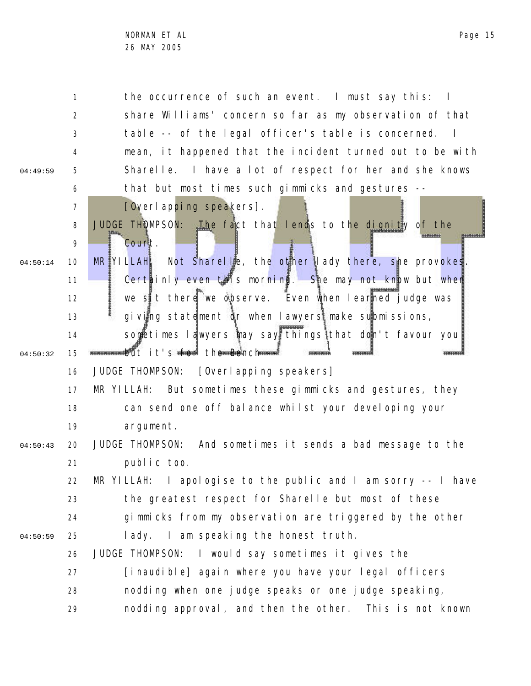1 2 3 4 5 6 7 8 9 10 11 12 13 14 15 16 17 18 19 20 21 22 23 24 25 26 27 28 29 04:49:59 04:50:14 04:50:32 04:50:43 04:50:59 the occurrence of such an event. I must say this: I share Williams' concern so far as my observation of that table -- of the legal officer's table is concerned. I mean, it happened that the incident turned out to be with Sharelle. I have a lot of respect for her and she knows that but most times such gimmicks and gestures -- [Overlapping speakers]. JUDGE THOMPSON: The fact that lends to the dignity of the Court.  $MR$ <sup>V</sup>ILLAH: Not Sharelle, the other lady there, she provokes. Certainly even this morning. She may not know but when we sit there we observe. Even when learned judge was giving statement or when lawyers make submissions, sometimes lawyers may say things that don't favour you! **mananamedit it's for the Bench ---**JUDGE THOMPSON: [Overlapping speakers] MR YILLAH: But sometimes these gimmicks and gestures, they can send one off balance whilst your developing your argument. JUDGE THOMPSON: And sometimes it sends a bad message to the public too. MR YILLAH: I apologise to the public and I am sorry -- I have the greatest respect for Sharelle but most of these gimmicks from my observation are triggered by the other lady. I am speaking the honest truth. JUDGE THOMPSON: I would say sometimes it gives the [inaudible] again where you have your legal officers nodding when one judge speaks or one judge speaking, nodding approval, and then the other. This is not known